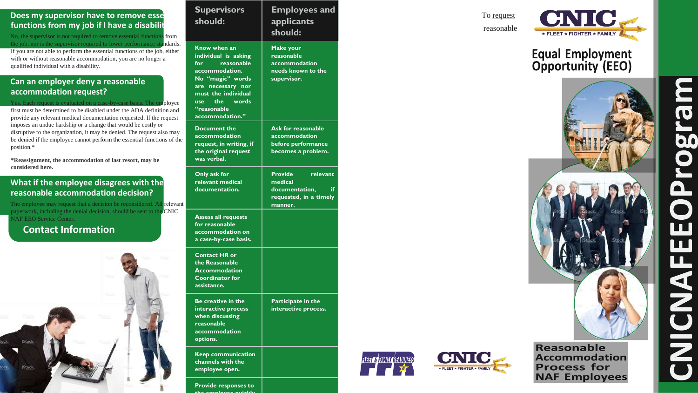## **Does my supervisor have to remove esse** functions from my job if I have a disabilit

No, the supervisor is not required to remove essential functions from the job, nor is the supervisor required to lower performance standards. If you are not able to perform the essential functions of the job, either with or without reasonable accommodation, you are no longer a qualified individual with a disability.

## **Can an employer deny a reasonable accommodation request?**

Yes. Each request is evaluated on a case-by-case basis. The employee first must be determined to be disabled under the ADA definition and provide any relevant medical documentation requested. If the request imposes an undue hardship or a change that would be costly or disruptive to the organization, it may be denied. The request also may be denied if the employee cannot perform the essential functions of the position.\*

**\*Reassignment, the accommodation of last resort, may be considered here.**

## **What if the employee disagrees with the reasonable accommodation decision?**

The employee may request that a decision be reconsidered. All relevant paperwork, including the denial decision, should be sent to the CNIC NAF EEO Service Center.

## **Contact Information**



To request reasonable













# **Equal Employment<br>Opportunity (EEO)**



Reasonable **Accommodation Process for NAF Employees** 

 $\overline{\mathbf{C}}$ **b.0** 0  $\mathbf \Omega$  $\overline{\mathbf{Z}}$ 

#### **Supervisors should: Employees and applicants should: Know when an individual is asking for reasonable accommodation. No "magic" words are necessary nor must the individual use the words "reasonable accommodation." Make your reasonable accommodation needs known to the supervisor. Document the accommodation request, in writing, if the original request was verbal. Ask for reasonable accommodation before performance becomes a problem. Only ask for relevant medical documentation. Provide relevant medical**  documentation. **requested, in a timely manner. Assess all requests for reasonable accommodation on a case -by -case basis. Contact HR or the Reasonable Accommodation Coordinator for assistance. Be creative in the interactive process when discussing reasonable accommodation options. Participate in the interactive process. Keep communication channels with the employee open.**

**Provide responses to the employee quickly**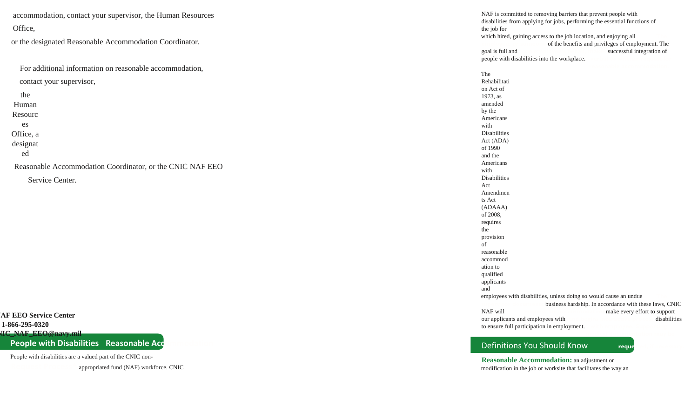accommodation, contact your supervisor, the Human Resources Office,

or the designated Reasonable Accommodation Coordinator.

| contact your supervisor,                                  |  |  |  |
|-----------------------------------------------------------|--|--|--|
| the                                                       |  |  |  |
| Human                                                     |  |  |  |
| Resourc                                                   |  |  |  |
| es                                                        |  |  |  |
| Office, a                                                 |  |  |  |
| designat                                                  |  |  |  |
| ed                                                        |  |  |  |
| Reasonable Accommodation Coordinator, or the CNIC NAF EEO |  |  |  |
| Service Center.                                           |  |  |  |
|                                                           |  |  |  |
|                                                           |  |  |  |
|                                                           |  |  |  |

**IAF EEO Service Center 1-866-295-0320 MIC\_NAF\_EEO@navy.mil** 

**People with Disabilities Reasonable Acq** 

which hired, gaining access to the job location, and enjoying all of the benefits and privileges of employment. The goal is full and **on employee's behalf, makes** successful integration of

People with disabilities are a valued part of the CNIC non -

appropriated fund (NAF) workforce. CNIC

NAF is committed to removing barriers that prevent people with disabilities from applying for jobs, performing the essential functions of

the job for

people with disabilities into the workplace.

employees with disabilities, unless doing so would cause an undue business hardship. In accordance with these laws, CNIC NAF will **request for accommodation** make every effort to support our applicants and employees with **and begins interactive process** disabilities

The Rehabilitati on Act of 1973, as amended by the Americans with Disabilities Act (ADA) of 1990 and the Americans with Disabilities Act Amendmen ts Act (ADAAA) of 2008, requires the provision of reasonable accommod ation to qualified applicants and

to ensure full participation in employment.

## Definitions You Should Know reque

**medical documentation may be** 

**Reasonable Accommodation:** an adjustment or modification in the job or worksite that facilitates the way an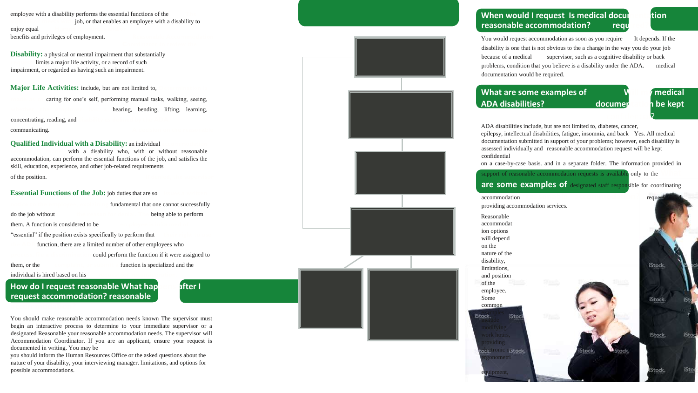employee with a disability performs the essential functions of the job, or that enables an employee with a disability to enjoy equal benefits and privileges of employment.

**Disability:** a physical or mental impairment that substantially limits a major life activity, or a record of such impairment, or regarded as having such an impairment.

**Major Life Activities:** include, but are not limited to,

caring for one's self, performing manual tasks, walking, seeing, hearing, bending, lifting, learning, concentrating, reading, and

communicating.

#### **Qualified Individual with a Disability:** an individual

with a disability who, with or without reasonable accommodation, can perform the essential functions of the job, and satisfies the skill, education, experience, and other job -related requirements

## **How do I request reasonable What hap after I request accommodation? reasonable**



of the position. **If denied, the supervisor** 

**Essential Functions of the Job:** job duties that are so fundamental that one cannot successfully do the job without **the reason for denial the reason for denial the** *being able to perform* them. A function is considered to be "essential" if the position exists specifically to perform that **their right to use**  function, there are a limited number of other employees who could perform the function if it were assigned to them, or the **complaint and the submit a specialized** and the **complaint** 

individual is hired based on his

You would request accommodation as soon as you require It depends. If the disability is one that is not obvious to the a change in the way you do your job because of a medical supervisor, such as a cognitive disability or back problems, condition that you believe is a disability under the ADA. medical documentation would be required.

## **What are some examples of Will My medical AV My medical AV My medical AV My medical AV My medical AV My medical AV My medical AV My medical AV My medical AV My medical AV My medical AV My medical AV My medical AV My medic ADA disabilities? documentation be kept**

You should make reasonable accommodation needs known The supervisor must begin an interactive process to determine to your immediate supervisor or a designated Reasonable your reasonable accommodation needs. The supervisor will Accommodation Coordinator. If you are an applicant, ensure your request is documented in writing. You may be

you should inform the Human Resources Office or the asked questions about the nature of your disability, your interviewing manager. limitations, and options for possible accommodations.



## **When would I request Is medical documents i** tion **reasonable accommodation?** required



ADA disabilities include, but are not limited to, diabetes, cancer, epilepsy, intellectual disabilities, fatigue, insomnia, and back Yes. All medical documentation submitted in support of your problems; however, each disability is assessed individually and reasonable accommodation request will be kept confidential

support of reasonable accommodation requests is available only to the

on a cas e -by -case basis. and in a separate folder. The information provided in





| accommodation         |
|-----------------------|
| providing accommodati |
| Reasonable            |
| accommodat            |
| ion options           |
| will depend           |
| on the                |
| nature of the         |
| disability,           |
| limitations,          |
| and position          |
| of the                |
| employee.             |
| Some                  |
| common                |
| <b>IStock</b><br>Stoc |
| modifying             |
| work hours,           |
| providing             |
| relectronic officek.  |
| ergonometri           |
|                       |
| equipment,            |
|                       |